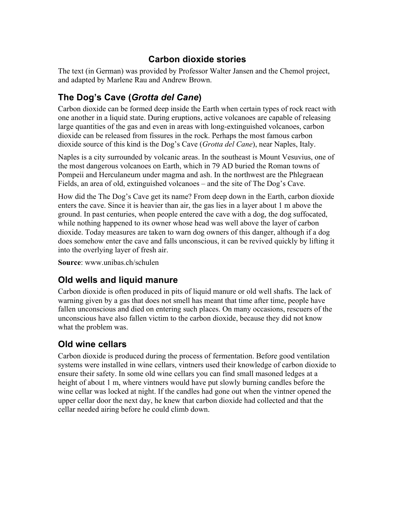#### **Carbon dioxide stories**

The text (in German) was provided by Professor Walter Jansen and the Chemol project, and adapted by Marlene Rau and Andrew Brown.

# **The Dog's Cave (***Grotta del Cane***)**

Carbon dioxide can be formed deep inside the Earth when certain types of rock react with one another in a liquid state. During eruptions, active volcanoes are capable of releasing large quantities of the gas and even in areas with long-extinguished volcanoes, carbon dioxide can be released from fissures in the rock. Perhaps the most famous carbon dioxide source of this kind is the Dog's Cave (*Grotta del Cane*), near Naples, Italy.

Naples is a city surrounded by volcanic areas. In the southeast is Mount Vesuvius, one of the most dangerous volcanoes on Earth, which in 79 AD buried the Roman towns of Pompeii and Herculaneum under magma and ash. In the northwest are the Phlegraean Fields, an area of old, extinguished volcanoes – and the site of The Dog's Cave.

How did the The Dog's Cave get its name? From deep down in the Earth, carbon dioxide enters the cave. Since it is heavier than air, the gas lies in a layer about 1 m above the ground. In past centuries, when people entered the cave with a dog, the dog suffocated, while nothing happened to its owner whose head was well above the layer of carbon dioxide. Today measures are taken to warn dog owners of this danger, although if a dog does somehow enter the cave and falls unconscious, it can be revived quickly by lifting it into the overlying layer of fresh air.

**Source**: www.unibas.ch/schulen

## **Old wells and liquid manure**

Carbon dioxide is often produced in pits of liquid manure or old well shafts. The lack of warning given by a gas that does not smell has meant that time after time, people have fallen unconscious and died on entering such places. On many occasions, rescuers of the unconscious have also fallen victim to the carbon dioxide, because they did not know what the problem was.

## **Old wine cellars**

Carbon dioxide is produced during the process of fermentation. Before good ventilation systems were installed in wine cellars, vintners used their knowledge of carbon dioxide to ensure their safety. In some old wine cellars you can find small masoned ledges at a height of about 1 m, where vintners would have put slowly burning candles before the wine cellar was locked at night. If the candles had gone out when the vintner opened the upper cellar door the next day, he knew that carbon dioxide had collected and that the cellar needed airing before he could climb down.